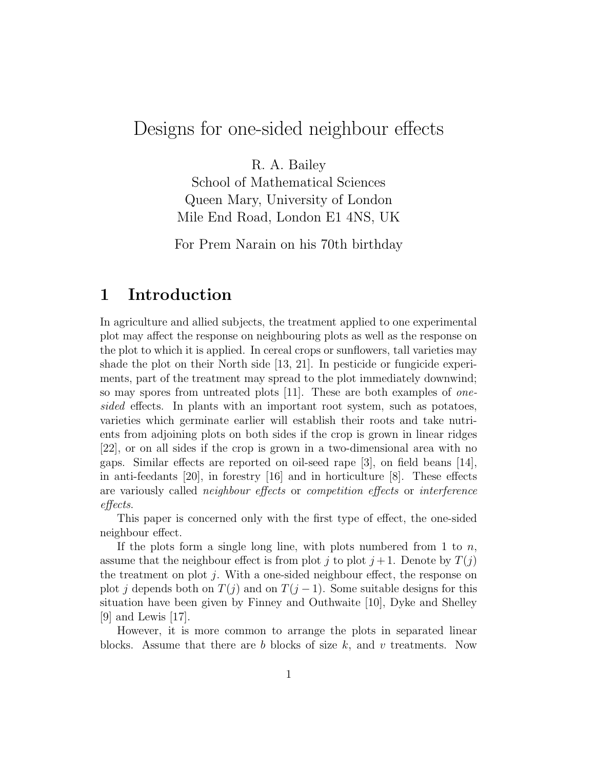# Designs for one-sided neighbour effects

R. A. Bailey

School of Mathematical Sciences Queen Mary, University of London Mile End Road, London E1 4NS, UK

For Prem Narain on his 70th birthday

### 1 Introduction

In agriculture and allied subjects, the treatment applied to one experimental plot may affect the response on neighbouring plots as well as the response on the plot to which it is applied. In cereal crops or sunflowers, tall varieties may shade the plot on their North side [13, 21]. In pesticide or fungicide experiments, part of the treatment may spread to the plot immediately downwind; so may spores from untreated plots [11]. These are both examples of onesided effects. In plants with an important root system, such as potatoes, varieties which germinate earlier will establish their roots and take nutrients from adjoining plots on both sides if the crop is grown in linear ridges [22], or on all sides if the crop is grown in a two-dimensional area with no gaps. Similar effects are reported on oil-seed rape [3], on field beans [14], in anti-feedants [20], in forestry [16] and in horticulture [8]. These effects are variously called neighbour effects or competition effects or interference effects.

This paper is concerned only with the first type of effect, the one-sided neighbour effect.

If the plots form a single long line, with plots numbered from 1 to  $n$ , assume that the neighbour effect is from plot j to plot  $j+1$ . Denote by  $T(j)$ the treatment on plot  $i$ . With a one-sided neighbour effect, the response on plot j depends both on  $T(j)$  and on  $T(j-1)$ . Some suitable designs for this situation have been given by Finney and Outhwaite [10], Dyke and Shelley  $|9|$  and Lewis  $|17|$ .

However, it is more common to arrange the plots in separated linear blocks. Assume that there are b blocks of size  $k$ , and v treatments. Now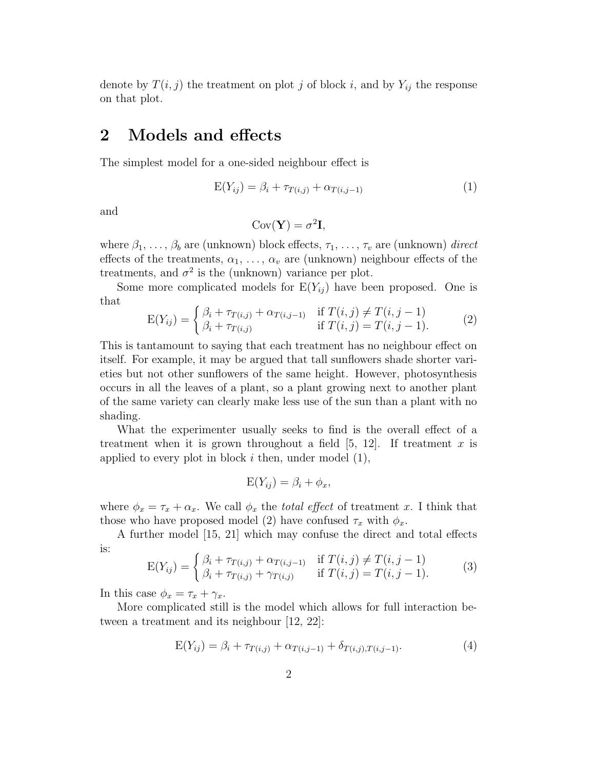denote by  $T(i, j)$  the treatment on plot j of block i, and by  $Y_{ij}$  the response on that plot.

### 2 Models and effects

The simplest model for a one-sided neighbour effect is

$$
E(Y_{ij}) = \beta_i + \tau_{T(i,j)} + \alpha_{T(i,j-1)}
$$
\n(1)

and

$$
Cov(\mathbf{Y}) = \sigma^2 \mathbf{I},
$$

where  $\beta_1, \ldots, \beta_b$  are (unknown) block effects,  $\tau_1, \ldots, \tau_v$  are (unknown) direct effects of the treatments,  $\alpha_1, \ldots, \alpha_v$  are (unknown) neighbour effects of the treatments, and  $\sigma^2$  is the (unknown) variance per plot.

Some more complicated models for  $E(Y_{ij})$  have been proposed. One is that

$$
E(Y_{ij}) = \begin{cases} \beta_i + \tau_{T(i,j)} + \alpha_{T(i,j-1)} & \text{if } T(i,j) \neq T(i,j-1) \\ \beta_i + \tau_{T(i,j)} & \text{if } T(i,j) = T(i,j-1). \end{cases}
$$
 (2)

This is tantamount to saying that each treatment has no neighbour effect on itself. For example, it may be argued that tall sunflowers shade shorter varieties but not other sunflowers of the same height. However, photosynthesis occurs in all the leaves of a plant, so a plant growing next to another plant of the same variety can clearly make less use of the sun than a plant with no shading.

What the experimenter usually seeks to find is the overall effect of a treatment when it is grown throughout a field  $[5, 12]$ . If treatment x is applied to every plot in block  $i$  then, under model  $(1)$ ,

$$
E(Y_{ij}) = \beta_i + \phi_x,
$$

where  $\phi_x = \tau_x + \alpha_x$ . We call  $\phi_x$  the *total effect* of treatment x. I think that those who have proposed model (2) have confused  $\tau_x$  with  $\phi_x$ .

A further model [15, 21] which may confuse the direct and total effects is:

$$
E(Y_{ij}) = \begin{cases} \beta_i + \tau_{T(i,j)} + \alpha_{T(i,j-1)} & \text{if } T(i,j) \neq T(i,j-1) \\ \beta_i + \tau_{T(i,j)} + \gamma_{T(i,j)} & \text{if } T(i,j) = T(i,j-1). \end{cases}
$$
(3)

In this case  $\phi_x = \tau_x + \gamma_x$ .

More complicated still is the model which allows for full interaction between a treatment and its neighbour [12, 22]:

$$
E(Y_{ij}) = \beta_i + \tau_{T(i,j)} + \alpha_{T(i,j-1)} + \delta_{T(i,j),T(i,j-1)}.
$$
\n(4)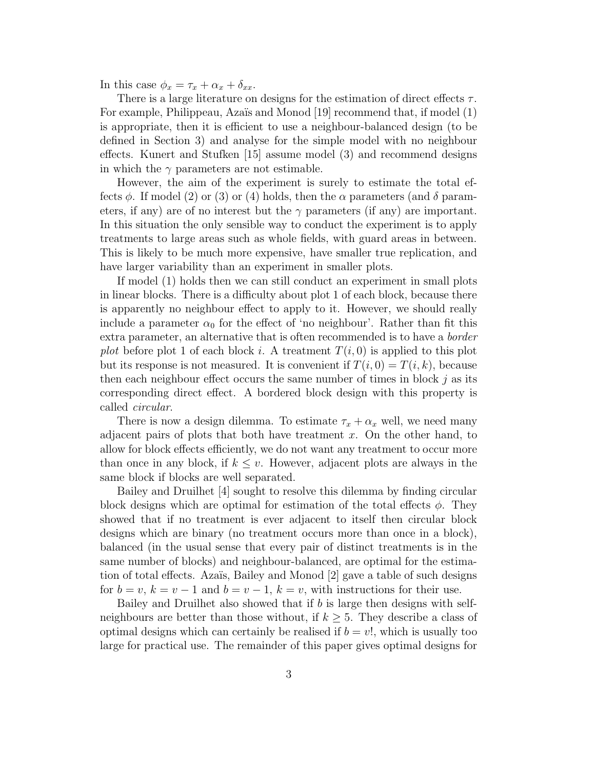In this case  $\phi_x = \tau_x + \alpha_x + \delta_{xx}$ .

There is a large literature on designs for the estimation of direct effects  $\tau$ . For example, Philippeau, Azaïs and Monod [19] recommend that, if model (1) is appropriate, then it is efficient to use a neighbour-balanced design (to be defined in Section 3) and analyse for the simple model with no neighbour effects. Kunert and Stufken [15] assume model (3) and recommend designs in which the  $\gamma$  parameters are not estimable.

However, the aim of the experiment is surely to estimate the total effects  $\phi$ . If model (2) or (3) or (4) holds, then the  $\alpha$  parameters (and  $\delta$  parameters, if any) are of no interest but the  $\gamma$  parameters (if any) are important. In this situation the only sensible way to conduct the experiment is to apply treatments to large areas such as whole fields, with guard areas in between. This is likely to be much more expensive, have smaller true replication, and have larger variability than an experiment in smaller plots.

If model (1) holds then we can still conduct an experiment in small plots in linear blocks. There is a difficulty about plot 1 of each block, because there is apparently no neighbour effect to apply to it. However, we should really include a parameter  $\alpha_0$  for the effect of 'no neighbour'. Rather than fit this extra parameter, an alternative that is often recommended is to have a border plot before plot 1 of each block i. A treatment  $T(i, 0)$  is applied to this plot but its response is not measured. It is convenient if  $T(i, 0) = T(i, k)$ , because then each neighbour effect occurs the same number of times in block  $j$  as its corresponding direct effect. A bordered block design with this property is called circular.

There is now a design dilemma. To estimate  $\tau_x + \alpha_x$  well, we need many adjacent pairs of plots that both have treatment  $x$ . On the other hand, to allow for block effects efficiently, we do not want any treatment to occur more than once in any block, if  $k \leq v$ . However, adjacent plots are always in the same block if blocks are well separated.

Bailey and Druilhet [4] sought to resolve this dilemma by finding circular block designs which are optimal for estimation of the total effects  $\phi$ . They showed that if no treatment is ever adjacent to itself then circular block designs which are binary (no treatment occurs more than once in a block), balanced (in the usual sense that every pair of distinct treatments is in the same number of blocks) and neighbour-balanced, are optimal for the estimation of total effects. Azaïs, Bailey and Monod  $[2]$  gave a table of such designs for  $b = v, k = v - 1$  and  $b = v - 1, k = v$ , with instructions for their use.

Bailey and Druilhet also showed that if  $b$  is large then designs with selfneighbours are better than those without, if  $k \geq 5$ . They describe a class of optimal designs which can certainly be realised if  $b = v!$ , which is usually too large for practical use. The remainder of this paper gives optimal designs for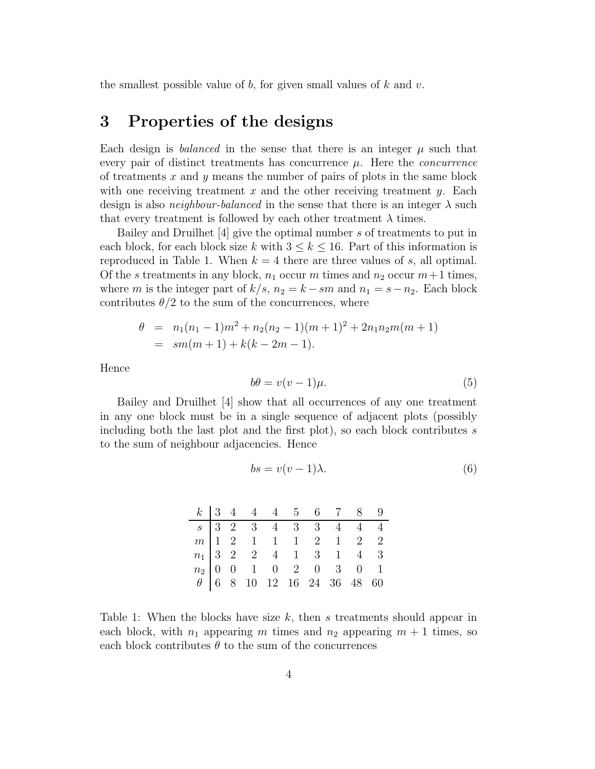the smallest possible value of b, for given small values of  $k$  and  $v$ .

## 3 Properties of the designs

Each design is *balanced* in the sense that there is an integer  $\mu$  such that every pair of distinct treatments has concurrence  $\mu$ . Here the *concurrence* of treatments  $x$  and  $y$  means the number of pairs of plots in the same block with one receiving treatment x and the other receiving treatment y. Each design is also *neighbour-balanced* in the sense that there is an integer  $\lambda$  such that every treatment is followed by each other treatment  $\lambda$  times.

Bailey and Druilhet [4] give the optimal number s of treatments to put in each block, for each block size k with  $3 \leq k \leq 16$ . Part of this information is reproduced in Table 1. When  $k = 4$  there are three values of s, all optimal. Of the s treatments in any block,  $n_1$  occur m times and  $n_2$  occur  $m+1$  times, where m is the integer part of  $k/s$ ,  $n_2 = k - sm$  and  $n_1 = s - n_2$ . Each block contributes  $\theta/2$  to the sum of the concurrences, where

$$
\theta = n_1(n_1 - 1)m^2 + n_2(n_2 - 1)(m + 1)^2 + 2n_1n_2m(m + 1)
$$
  
=  $sm(m + 1) + k(k - 2m - 1).$ 

Hence

$$
b\theta = v(v-1)\mu.
$$
\n<sup>(5)</sup>

Bailey and Druilhet [4] show that all occurrences of any one treatment in any one block must be in a single sequence of adjacent plots (possibly including both the last plot and the first plot), so each block contributes  $s$ to the sum of neighbour adjacencies. Hence

$$
bs = v(v-1)\lambda.
$$
 (6)

|  |  |  |  | $k$ 3 4 4 4 5 6 7 8 9<br>$\begin{array}{cccccccccccc} s&3&2&3&4&3&3&4&4&4\\ m&1&2&1&1&1&2&1&2&2\\ n_1&3&2&2&4&1&3&1&4&3\\ n_2&0&0&1&0&2&0&3&0&1\\ \theta&6&8&10&12&16&24&36&48&60 \end{array}$ |
|--|--|--|--|------------------------------------------------------------------------------------------------------------------------------------------------------------------------------------------------|

Table 1: When the blocks have size  $k$ , then s treatments should appear in each block, with  $n_1$  appearing m times and  $n_2$  appearing  $m + 1$  times, so each block contributes  $\theta$  to the sum of the concurrences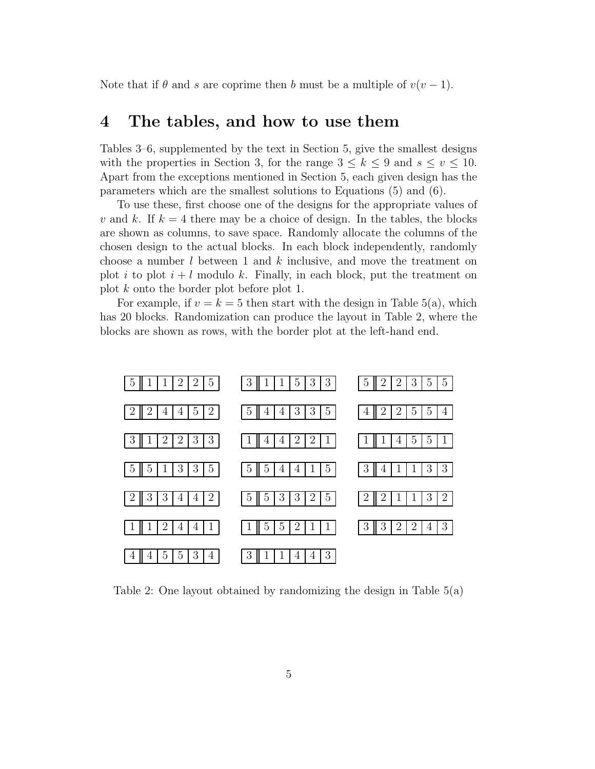Note that if  $\theta$  and s are coprime then b must be a multiple of  $v(v-1)$ .

### 4 The tables, and how to use them

Tables 3–6, supplemented by the text in Section 5, give the smallest designs with the properties in Section 3, for the range  $3 \leq k \leq 9$  and  $s \leq v \leq 10$ . Apart from the exceptions mentioned in Section 5, each given design has the parameters which are the smallest solutions to Equations (5) and (6).

To use these, first choose one of the designs for the appropriate values of v and k. If  $k = 4$  there may be a choice of design. In the tables, the blocks are shown as columns, to save space. Randomly allocate the columns of the chosen design to the actual blocks. In each block independently, randomly choose a number  $l$  between 1 and  $k$  inclusive, and move the treatment on plot i to plot  $i + l$  modulo k. Finally, in each block, put the treatment on plot k onto the border plot before plot 1.

For example, if  $v = k = 5$  then start with the design in Table 5(a), which has 20 blocks. Randomization can produce the layout in Table 2, where the blocks are shown as rows, with the border plot at the left-hand end.



Table 2: One layout obtained by randomizing the design in Table 5(a)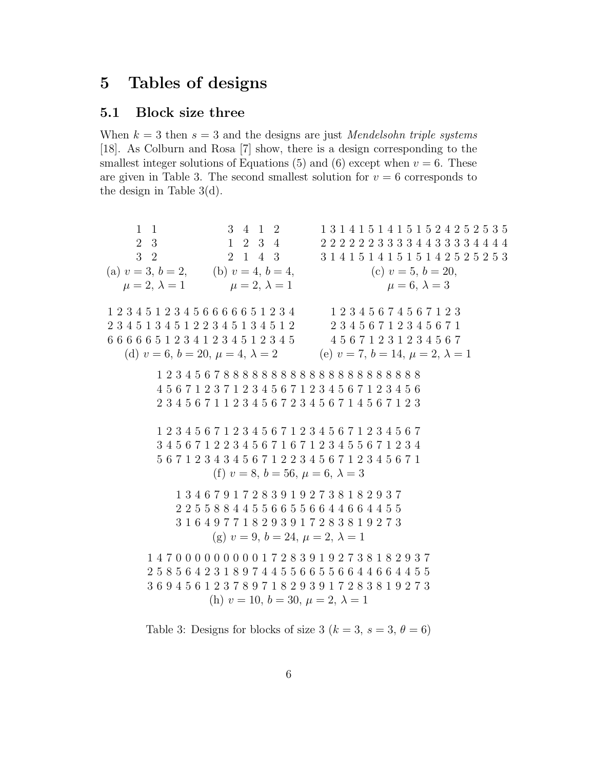## Tables of designs

### 5.1 Block size three

When  $k = 3$  then  $s = 3$  and the designs are just *Mendelsohn triple systems* [18]. As Colburn and Rosa [7] show, there is a design corresponding to the smallest integer solutions of Equations (5) and (6) except when  $v = 6$ . These are given in Table 3. The second smallest solution for  $v = 6$  corresponds to the design in Table 3(d).

 1 3 2 4 1 2 2 3 4 1 4 3 3 1 4 1 5 1 4 1 5 1 5 2 4 2 5 2 5 3 5 2 2 2 2 2 3 3 3 3 4 4 3 3 3 3 4 4 4 4 1 4 1 5 1 4 1 5 1 5 1 4 2 5 2 5 2 5 3 (a)  $v = 3, b = 2,$  (b)  $v = 4, b = 4,$  (c)  $v = 5, b = 20,$  $\mu = 2, \lambda = 1$   $\mu = 2, \lambda = 1$   $\mu = 6, \lambda = 3$  2 3 4 5 1 2 3 4 5 6 6 6 6 6 5 1 2 3 4 3 4 5 1 3 4 5 1 2 2 3 4 5 1 3 4 5 1 2 6 6 6 6 5 1 2 3 4 1 2 3 4 5 1 2 3 4 5 2 3 4 5 6 7 4 5 6 7 1 2 3 3 4 5 6 7 1 2 3 4 5 6 7 1 5 6 7 1 2 3 1 2 3 4 5 6 7 (d)  $v = 6, b = 20, \mu = 4, \lambda = 2$  (e)  $v = 7, b = 14, \mu = 2, \lambda = 1$  2 3 4 5 6 7 8 8 8 8 8 8 8 8 8 8 8 8 8 8 8 8 8 8 8 8 8 5 6 7 1 2 3 7 1 2 3 4 5 6 7 1 2 3 4 5 6 7 1 2 3 4 5 6 3 4 5 6 7 1 1 2 3 4 5 6 7 2 3 4 5 6 7 1 4 5 6 7 1 2 3 2 3 4 5 6 7 1 2 3 4 5 6 7 1 2 3 4 5 6 7 1 2 3 4 5 6 7 4 5 6 7 1 2 2 3 4 5 6 7 1 6 7 1 2 3 4 5 5 6 7 1 2 3 4 6 7 1 2 3 4 3 4 5 6 7 1 2 2 3 4 5 6 7 1 2 3 4 5 6 7 1 (f)  $v = 8$ ,  $b = 56$ ,  $\mu = 6$ ,  $\lambda = 3$  3 4 6 7 9 1 7 2 8 3 9 1 9 2 7 3 8 1 8 2 9 3 7 2 5 5 8 8 4 4 5 5 6 6 5 5 6 6 4 4 6 6 4 4 5 5 1 6 4 9 7 7 1 8 2 9 3 9 1 7 2 8 3 8 1 9 2 7 3 (g)  $v = 9, b = 24, \mu = 2, \lambda = 1$  4 7 0 0 0 0 0 0 0 0 0 1 7 2 8 3 9 1 9 2 7 3 8 1 8 2 9 3 7 5 8 5 6 4 2 3 1 8 9 7 4 4 5 5 6 6 5 5 6 6 4 4 6 6 4 4 5 5 6 9 4 5 6 1 2 3 7 8 9 7 1 8 2 9 3 9 1 7 2 8 3 8 1 9 2 7 3 (h)  $v = 10, b = 30, \mu = 2, \lambda = 1$ 

Table 3: Designs for blocks of size 3 ( $k = 3$ ,  $s = 3$ ,  $\theta = 6$ )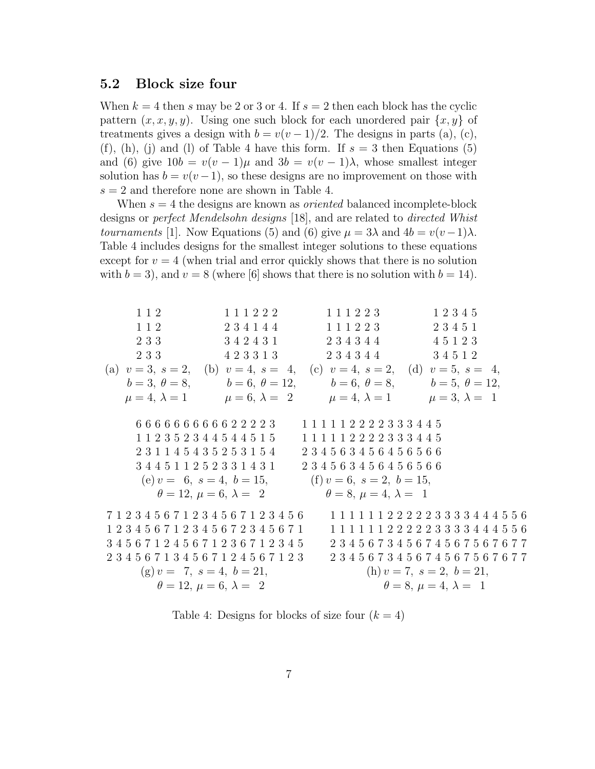#### 5.2 Block size four

When  $k = 4$  then s may be 2 or 3 or 4. If  $s = 2$  then each block has the cyclic pattern  $(x, x, y, y)$ . Using one such block for each unordered pair  $\{x, y\}$  of treatments gives a design with  $b = v(v-1)/2$ . The designs in parts (a), (c), (f), (h), (j) and (l) of Table 4 have this form. If  $s = 3$  then Equations (5) and (6) give  $10b = v(v-1)\mu$  and  $3b = v(v-1)\lambda$ , whose smallest integer solution has  $b = v(v-1)$ , so these designs are no improvement on those with  $s = 2$  and therefore none are shown in Table 4.

When  $s = 4$  the designs are known as *oriented* balanced incomplete-block designs or perfect Mendelsohn designs [18], and are related to directed Whist tournaments [1]. Now Equations (5) and (6) give  $\mu = 3\lambda$  and  $4b = v(v-1)\lambda$ . Table 4 includes designs for the smallest integer solutions to these equations except for  $v = 4$  (when trial and error quickly shows that there is no solution with  $b = 3$ , and  $v = 8$  (where [6] shows that there is no solution with  $b = 14$ ).

1 1 2 1 1 2 2 3 3 2 3 3 1 1 1 2 2 2 2 3 4 1 4 4 3 4 2 4 3 1 4 2 3 3 1 3 1 1 1 2 2 3 1 1 1 2 2 3 2 3 4 3 4 4 2 3 4 3 4 4 1 2 3 4 5 2 3 4 5 1 4 5 1 2 3 3 4 5 1 2 (a)  $v = 3$ ,  $s = 2$ ,  $b=3, \theta=8,$  $\mu = 4, \lambda = 1$ (b)  $v = 4$ ,  $s = 4$ ,  $b=6, \ \theta=12,$  $\mu = 6, \lambda = 2$ (c)  $v = 4$ ,  $s = 2$ ,  $b=6, \ \theta=8,$  $\mu = 4, \lambda = 1$ (d)  $v = 5$ ,  $s = 4$ ,  $b=5, \ \theta=12,$  $\mu = 3, \lambda = 1$ 6 6 6 6 6 6 6 6 6 6 2 2 2 2 3 1 1 2 3 5 2 3 4 4 5 4 4 5 1 5 2 3 1 1 4 5 4 3 5 2 5 3 1 5 4 3 4 4 5 1 1 2 5 2 3 3 1 4 3 1 1 1 1 1 1 2 2 2 2 3 3 3 4 4 5 1 1 1 1 1 2 2 2 2 3 3 3 4 4 5 2 3 4 5 6 3 4 5 6 4 5 6 5 6 6 2 3 4 5 6 3 4 5 6 4 5 6 5 6 6 (e)  $v = 6$ ,  $s = 4$ ,  $b = 15$ ,  $\theta = 12, \mu = 6, \lambda = 2$ (f)  $v = 6$ ,  $s = 2$ ,  $b = 15$ ,  $\theta = 8, \mu = 4, \lambda = 1$ 7 1 2 3 4 5 6 7 1 2 3 4 5 6 7 1 2 3 4 5 6 1 2 3 4 5 6 7 1 2 3 4 5 6 7 2 3 4 5 6 7 1 3 4 5 6 7 1 2 4 5 6 7 1 2 3 6 7 1 2 3 4 5 2 3 4 5 6 7 1 3 4 5 6 7 1 2 4 5 6 7 1 2 3 1 1 1 1 1 1 2 2 2 2 2 3 3 3 3 4 4 4 5 5 6 1 1 1 1 1 1 2 2 2 2 2 3 3 3 3 4 4 4 5 5 6 2 3 4 5 6 7 3 4 5 6 7 4 5 6 7 5 6 7 6 7 7 2 3 4 5 6 7 3 4 5 6 7 4 5 6 7 5 6 7 6 7 7 (g)  $v = 7$ ,  $s = 4$ ,  $b = 21$ ,  $\theta = 12, \mu = 6, \lambda = 2$ (h)  $v = 7$ ,  $s = 2$ ,  $b = 21$ ,  $\theta = 8, \mu = 4, \lambda = 1$ 

Table 4: Designs for blocks of size four  $(k = 4)$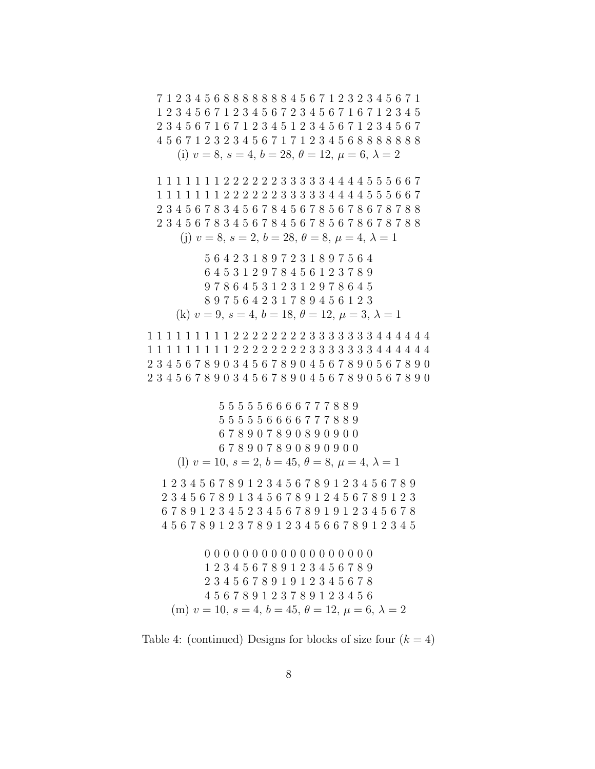Table 4: (continued) Designs for blocks of size four  $(k = 4)$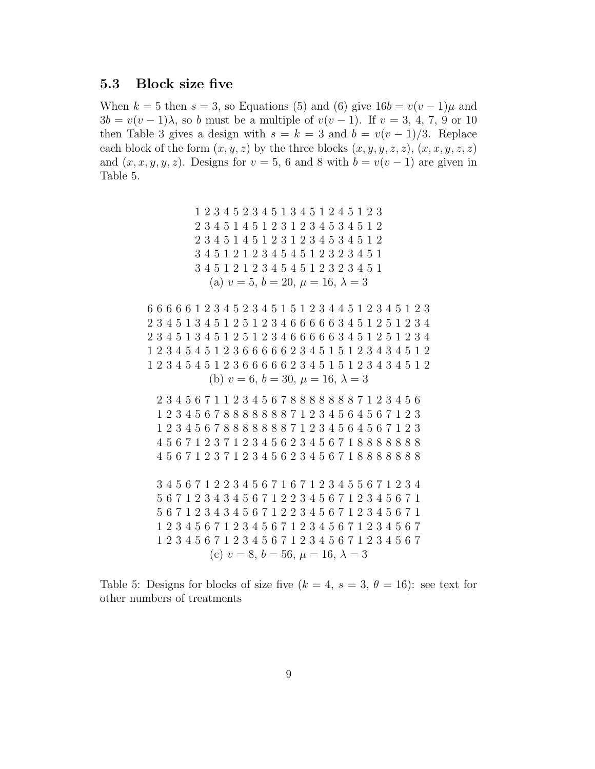#### 5.3 Block size five

When  $k = 5$  then  $s = 3$ , so Equations (5) and (6) give  $16b = v(v - 1)\mu$  and  $3b = v(v-1)\lambda$ , so b must be a multiple of  $v(v-1)$ . If  $v = 3, 4, 7, 9$  or 10 then Table 3 gives a design with  $s = k = 3$  and  $b = v(v - 1)/3$ . Replace each block of the form  $(x, y, z)$  by the three blocks  $(x, y, y, z, z)$ ,  $(x, x, y, z, z)$ and  $(x, x, y, y, z)$ . Designs for  $v = 5$ , 6 and 8 with  $b = v(v - 1)$  are given in Table 5.

> 2 3 4 5 2 3 4 5 1 3 4 5 1 2 4 5 1 2 3 3 4 5 1 4 5 1 2 3 1 2 3 4 5 3 4 5 1 2 3 4 5 1 4 5 1 2 3 1 2 3 4 5 3 4 5 1 2 4 5 1 2 1 2 3 4 5 4 5 1 2 3 2 3 4 5 1 4 5 1 2 1 2 3 4 5 4 5 1 2 3 2 3 4 5 1 (a)  $v = 5, b = 20, \mu = 16, \lambda = 3$

 6 6 6 6 1 2 3 4 5 2 3 4 5 1 5 1 2 3 4 4 5 1 2 3 4 5 1 2 3 3 4 5 1 3 4 5 1 2 5 1 2 3 4 6 6 6 6 6 3 4 5 1 2 5 1 2 3 4 3 4 5 1 3 4 5 1 2 5 1 2 3 4 6 6 6 6 6 3 4 5 1 2 5 1 2 3 4 2 3 4 5 4 5 1 2 3 6 6 6 6 6 2 3 4 5 1 5 1 2 3 4 3 4 5 1 2 2 3 4 5 4 5 1 2 3 6 6 6 6 6 2 3 4 5 1 5 1 2 3 4 3 4 5 1 2 (b)  $v = 6$ ,  $b = 30$ ,  $\mu = 16$ ,  $\lambda = 3$ 

 3 4 5 6 7 1 1 2 3 4 5 6 7 8 8 8 8 8 8 8 7 1 2 3 4 5 6 2 3 4 5 6 7 8 8 8 8 8 8 8 7 1 2 3 4 5 6 4 5 6 7 1 2 3 2 3 4 5 6 7 8 8 8 8 8 8 8 7 1 2 3 4 5 6 4 5 6 7 1 2 3 5 6 7 1 2 3 7 1 2 3 4 5 6 2 3 4 5 6 7 1 8 8 8 8 8 8 8 5 6 7 1 2 3 7 1 2 3 4 5 6 2 3 4 5 6 7 1 8 8 8 8 8 8 8

 4 5 6 7 1 2 2 3 4 5 6 7 1 6 7 1 2 3 4 5 5 6 7 1 2 3 4 6 7 1 2 3 4 3 4 5 6 7 1 2 2 3 4 5 6 7 1 2 3 4 5 6 7 1 6 7 1 2 3 4 3 4 5 6 7 1 2 2 3 4 5 6 7 1 2 3 4 5 6 7 1 2 3 4 5 6 7 1 2 3 4 5 6 7 1 2 3 4 5 6 7 1 2 3 4 5 6 7 2 3 4 5 6 7 1 2 3 4 5 6 7 1 2 3 4 5 6 7 1 2 3 4 5 6 7 (c)  $v = 8$ ,  $b = 56$ ,  $\mu = 16$ ,  $\lambda = 3$ 

Table 5: Designs for blocks of size five  $(k = 4, s = 3, \theta = 16)$ : see text for other numbers of treatments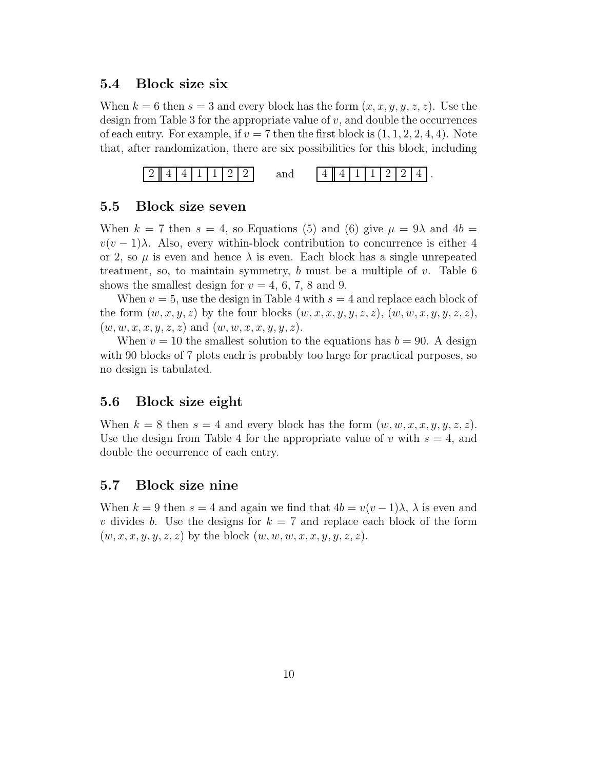#### 5.4 Block size six

When  $k = 6$  then  $s = 3$  and every block has the form  $(x, x, y, y, z, z)$ . Use the design from Table 3 for the appropriate value of  $v$ , and double the occurrences of each entry. For example, if  $v = 7$  then the first block is  $(1, 1, 2, 2, 4, 4)$ . Note that, after randomization, there are six possibilities for this block, including



#### 5.5 Block size seven

When  $k = 7$  then  $s = 4$ , so Equations (5) and (6) give  $\mu = 9\lambda$  and  $4b =$  $v(v-1)\lambda$ . Also, every within-block contribution to concurrence is either 4 or 2, so  $\mu$  is even and hence  $\lambda$  is even. Each block has a single unrepeated treatment, so, to maintain symmetry, b must be a multiple of  $v$ . Table 6 shows the smallest design for  $v = 4, 6, 7, 8$  and 9.

When  $v = 5$ , use the design in Table 4 with  $s = 4$  and replace each block of the form  $(w, x, y, z)$  by the four blocks  $(w, x, x, y, y, z, z), (w, w, x, y, y, z, z),$  $(w, w, x, x, y, z, z)$  and  $(w, w, x, x, y, y, z)$ .

When  $v = 10$  the smallest solution to the equations has  $b = 90$ . A design with 90 blocks of 7 plots each is probably too large for practical purposes, so no design is tabulated.

### 5.6 Block size eight

When  $k = 8$  then  $s = 4$  and every block has the form  $(w, w, x, x, y, y, z, z)$ . Use the design from Table 4 for the appropriate value of v with  $s = 4$ , and double the occurrence of each entry.

#### 5.7 Block size nine

When  $k = 9$  then  $s = 4$  and again we find that  $4b = v(v-1)\lambda$ ,  $\lambda$  is even and v divides b. Use the designs for  $k = 7$  and replace each block of the form  $(w, x, x, y, y, z, z)$  by the block  $(w, w, w, x, x, y, y, z, z)$ .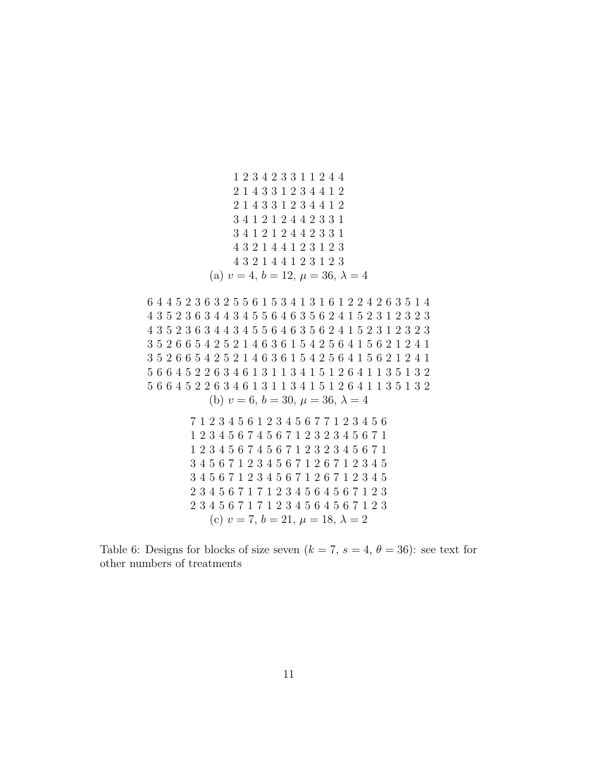2 3 4 2 3 3 1 1 2 4 4 1 4 3 3 1 2 3 4 4 1 2 1 4 3 3 1 2 3 4 4 1 2 4 1 2 1 2 4 4 2 3 3 1 4 1 2 1 2 4 4 2 3 3 1 3 2 1 4 4 1 2 3 1 2 3 3 2 1 4 4 1 2 3 1 2 3 (a)  $v = 4, b = 12, \mu = 36, \lambda = 4$ 

 4 4 5 2 3 6 3 2 5 5 6 1 5 3 4 1 3 1 6 1 2 2 4 2 6 3 5 1 4 3 5 2 3 6 3 4 4 3 4 5 5 6 4 6 3 5 6 2 4 1 5 2 3 1 2 3 2 3 3 5 2 3 6 3 4 4 3 4 5 5 6 4 6 3 5 6 2 4 1 5 2 3 1 2 3 2 3 5 2 6 6 5 4 2 5 2 1 4 6 3 6 1 5 4 2 5 6 4 1 5 6 2 1 2 4 1 5 2 6 6 5 4 2 5 2 1 4 6 3 6 1 5 4 2 5 6 4 1 5 6 2 1 2 4 1 6 6 4 5 2 2 6 3 4 6 1 3 1 1 3 4 1 5 1 2 6 4 1 1 3 5 1 3 2 6 6 4 5 2 2 6 3 4 6 1 3 1 1 3 4 1 5 1 2 6 4 1 1 3 5 1 3 2 (b)  $v = 6, b = 30, \mu = 36, \lambda = 4$  1 2 3 4 5 6 1 2 3 4 5 6 7 7 1 2 3 4 5 6 2 3 4 5 6 7 4 5 6 7 1 2 3 2 3 4 5 6 7 1 2 3 4 5 6 7 4 5 6 7 1 2 3 2 3 4 5 6 7 1

 4 5 6 7 1 2 3 4 5 6 7 1 2 6 7 1 2 3 4 5 4 5 6 7 1 2 3 4 5 6 7 1 2 6 7 1 2 3 4 5 3 4 5 6 7 1 7 1 2 3 4 5 6 4 5 6 7 1 2 3 3 4 5 6 7 1 7 1 2 3 4 5 6 4 5 6 7 1 2 3 (c)  $v = 7, b = 21, \mu = 18, \lambda = 2$ 

Table 6: Designs for blocks of size seven  $(k = 7, s = 4, \theta = 36)$ : see text for other numbers of treatments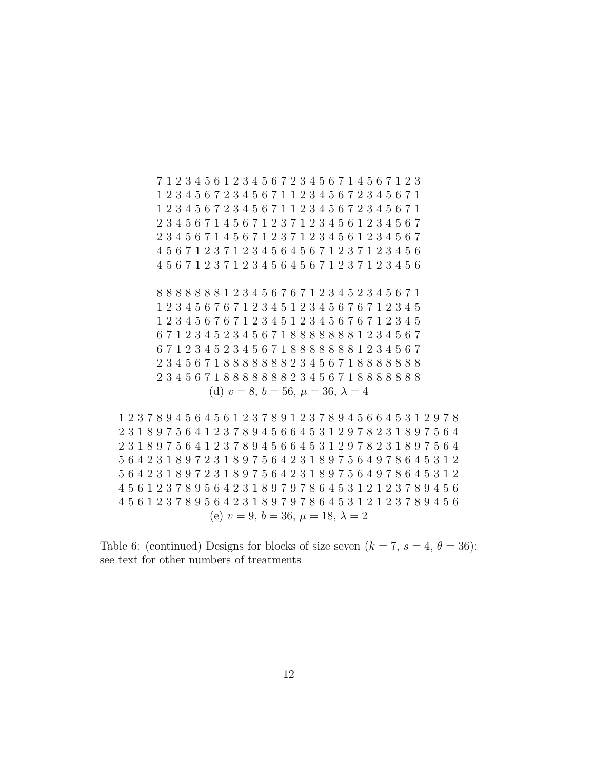1 2 3 4 5 6 1 2 3 4 5 6 7 2 3 4 5 6 7 1 4 5 6 7 1 2 3 2 3 4 5 6 7 2 3 4 5 6 7 1 1 2 3 4 5 6 7 2 3 4 5 6 7 1 2 3 4 5 6 7 2 3 4 5 6 7 1 1 2 3 4 5 6 7 2 3 4 5 6 7 1 3 4 5 6 7 1 4 5 6 7 1 2 3 7 1 2 3 4 5 6 1 2 3 4 5 6 7 3 4 5 6 7 1 4 5 6 7 1 2 3 7 1 2 3 4 5 6 1 2 3 4 5 6 7 5 6 7 1 2 3 7 1 2 3 4 5 6 4 5 6 7 1 2 3 7 1 2 3 4 5 6 5 6 7 1 2 3 7 1 2 3 4 5 6 4 5 6 7 1 2 3 7 1 2 3 4 5 6 8 8 8 8 8 8 1 2 3 4 5 6 7 6 7 1 2 3 4 5 2 3 4 5 6 7 1 2 3 4 5 6 7 6 7 1 2 3 4 5 1 2 3 4 5 6 7 6 7 1 2 3 4 5 2 3 4 5 6 7 6 7 1 2 3 4 5 1 2 3 4 5 6 7 6 7 1 2 3 4 5 7 1 2 3 4 5 2 3 4 5 6 7 1 8 8 8 8 8 8 8 1 2 3 4 5 6 7 7 1 2 3 4 5 2 3 4 5 6 7 1 8 8 8 8 8 8 8 1 2 3 4 5 6 7 3 4 5 6 7 1 8 8 8 8 8 8 8 2 3 4 5 6 7 1 8 8 8 8 8 8 8 3 4 5 6 7 1 8 8 8 8 8 8 8 2 3 4 5 6 7 1 8 8 8 8 8 8 8 (d)  $v = 8$ ,  $b = 56$ ,  $\mu = 36$ ,  $\lambda = 4$ 

 2 3 7 8 9 4 5 6 4 5 6 1 2 3 7 8 9 1 2 3 7 8 9 4 5 6 6 4 5 3 1 2 9 7 8 3 1 8 9 7 5 6 4 1 2 3 7 8 9 4 5 6 6 4 5 3 1 2 9 7 8 2 3 1 8 9 7 5 6 4 3 1 8 9 7 5 6 4 1 2 3 7 8 9 4 5 6 6 4 5 3 1 2 9 7 8 2 3 1 8 9 7 5 6 4 6 4 2 3 1 8 9 7 2 3 1 8 9 7 5 6 4 2 3 1 8 9 7 5 6 4 9 7 8 6 4 5 3 1 2 6 4 2 3 1 8 9 7 2 3 1 8 9 7 5 6 4 2 3 1 8 9 7 5 6 4 9 7 8 6 4 5 3 1 2 5 6 1 2 3 7 8 9 5 6 4 2 3 1 8 9 7 9 7 8 6 4 5 3 1 2 1 2 3 7 8 9 4 5 6 5 6 1 2 3 7 8 9 5 6 4 2 3 1 8 9 7 9 7 8 6 4 5 3 1 2 1 2 3 7 8 9 4 5 6 (e)  $v = 9, b = 36, \mu = 18, \lambda = 2$ 

Table 6: (continued) Designs for blocks of size seven  $(k = 7, s = 4, \theta = 36)$ : see text for other numbers of treatments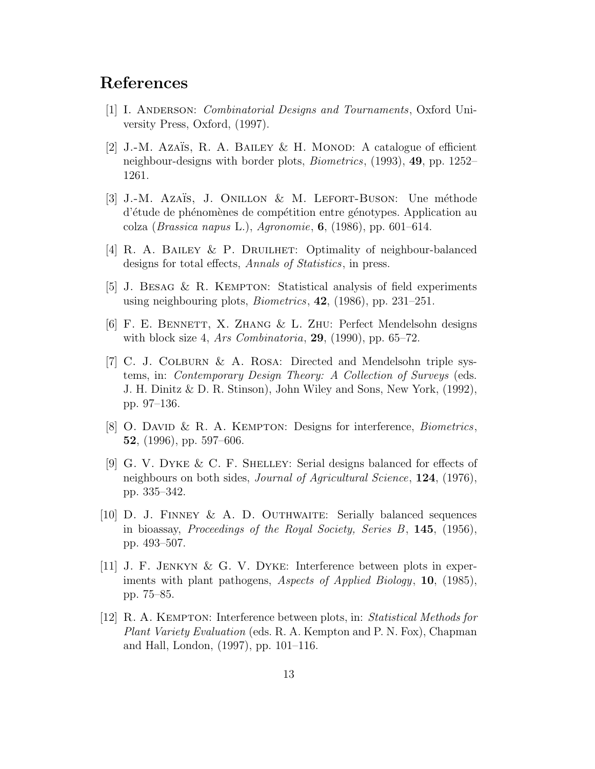## References

- [1] I. ANDERSON: *Combinatorial Designs and Tournaments*, Oxford University Press, Oxford, (1997).
- [2] J.-M. Azaïs, R. A. Bailey & H. Monod: A catalogue of efficient neighbour-designs with border plots, Biometrics, (1993), 49, pp. 1252– 1261.
- [3] J.-M. Azaïs, J. ONILLON & M. LEFORT-BUSON: Une méthode d'étude de phénomènes de compétition entre génotypes. Application au colza (*Brassica napus L.*), Agronomie,  $6$ , (1986), pp. 601–614.
- [4] R. A. Bailey & P. Druilhet: Optimality of neighbour-balanced designs for total effects, Annals of Statistics, in press.
- [5] J. Besag & R. Kempton: Statistical analysis of field experiments using neighbouring plots, Biometrics, 42, (1986), pp. 231–251.
- [6] F. E. Bennett, X. Zhang & L. Zhu: Perfect Mendelsohn designs with block size 4, Ars Combinatoria,  $29$ ,  $(1990)$ , pp. 65–72.
- [7] C. J. Colburn & A. Rosa: Directed and Mendelsohn triple systems, in: Contemporary Design Theory: A Collection of Surveys (eds. J. H. Dinitz & D. R. Stinson), John Wiley and Sons, New York, (1992), pp. 97–136.
- [8] O. DAVID & R. A. KEMPTON: Designs for interference, *Biometrics*, 52, (1996), pp. 597–606.
- [9] G. V. Dyke & C. F. Shelley: Serial designs balanced for effects of neighbours on both sides, *Journal of Agricultural Science*, **124**, (1976), pp. 335–342.
- [10] D. J. FINNEY & A. D. OUTHWAITE: Serially balanced sequences in bioassay, Proceedings of the Royal Society, Series B, 145, (1956), pp. 493–507.
- [11] J. F. Jenkyn & G. V. Dyke: Interference between plots in experiments with plant pathogens, Aspects of Applied Biology, 10, (1985), pp. 75–85.
- [12] R. A. Kempton: Interference between plots, in: Statistical Methods for Plant Variety Evaluation (eds. R. A. Kempton and P. N. Fox), Chapman and Hall, London, (1997), pp. 101–116.